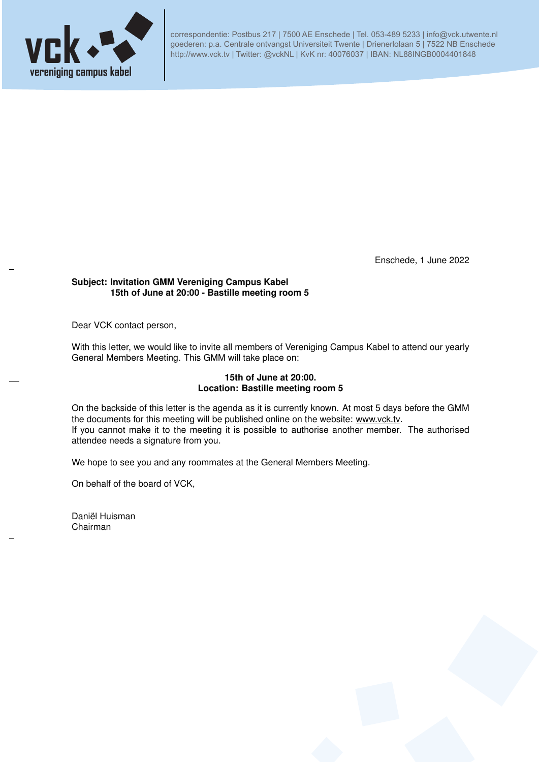

correspondentie: Postbus 217 | 7500 AE Enschede | Tel. 053-489 5233 | info@vck.utwente.nl goederen: p.a. Centrale ontvangst Universiteit Twente | Drienerlolaan 5 | 7522 NB Enschede http://www.vck.tv | Twitter: @vckNL | KvK nr: 40076037 | IBAN: NL88INGB0004401848

Enschede, 1 June 2022

## **Subject: Invitation GMM Vereniging Campus Kabel 15th of June at 20:00 - Bastille meeting room 5**

Dear VCK contact person,

With this letter, we would like to invite all members of Vereniging Campus Kabel to attend our yearly General Members Meeting. This GMM will take place on:

## **15th of June at 20:00. Location: Bastille meeting room 5**

On the backside of this letter is the agenda as it is currently known. At most 5 days before the GMM the documents for this meeting will be published online on the website: www.vck.tv. If you cannot make it to the meeting it is possible to authorise another member. The authorised attendee needs a signature from you.

We hope to see you and any roommates at the General Members Meeting.

On behalf of the board of VCK,

Daniël Huisman Chairman